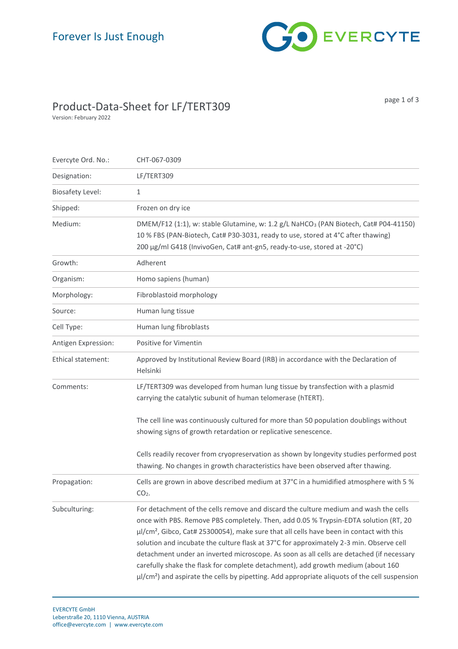

## Product-Data-Sheet for LF/TERT309

Version: February 2022

page 1 of 3

| Evercyte Ord. No.:      | CHT-067-0309                                                                                                                                                                                                                                                                                                                                                                                                                                                                                                                                                                                                                                                                       |
|-------------------------|------------------------------------------------------------------------------------------------------------------------------------------------------------------------------------------------------------------------------------------------------------------------------------------------------------------------------------------------------------------------------------------------------------------------------------------------------------------------------------------------------------------------------------------------------------------------------------------------------------------------------------------------------------------------------------|
| Designation:            | LF/TERT309                                                                                                                                                                                                                                                                                                                                                                                                                                                                                                                                                                                                                                                                         |
| <b>Biosafety Level:</b> | $\mathbf{1}$                                                                                                                                                                                                                                                                                                                                                                                                                                                                                                                                                                                                                                                                       |
| Shipped:                | Frozen on dry ice                                                                                                                                                                                                                                                                                                                                                                                                                                                                                                                                                                                                                                                                  |
| Medium:                 | DMEM/F12 (1:1), w: stable Glutamine, w: 1.2 g/L NaHCO <sub>3</sub> (PAN Biotech, Cat# P04-41150)<br>10 % FBS (PAN-Biotech, Cat# P30-3031, ready to use, stored at 4°C after thawing)<br>200 µg/ml G418 (InvivoGen, Cat# ant-gn5, ready-to-use, stored at -20°C)                                                                                                                                                                                                                                                                                                                                                                                                                    |
| Growth:                 | Adherent                                                                                                                                                                                                                                                                                                                                                                                                                                                                                                                                                                                                                                                                           |
| Organism:               | Homo sapiens (human)                                                                                                                                                                                                                                                                                                                                                                                                                                                                                                                                                                                                                                                               |
| Morphology:             | Fibroblastoid morphology                                                                                                                                                                                                                                                                                                                                                                                                                                                                                                                                                                                                                                                           |
| Source:                 | Human lung tissue                                                                                                                                                                                                                                                                                                                                                                                                                                                                                                                                                                                                                                                                  |
| Cell Type:              | Human lung fibroblasts                                                                                                                                                                                                                                                                                                                                                                                                                                                                                                                                                                                                                                                             |
| Antigen Expression:     | Positive for Vimentin                                                                                                                                                                                                                                                                                                                                                                                                                                                                                                                                                                                                                                                              |
| Ethical statement:      | Approved by Institutional Review Board (IRB) in accordance with the Declaration of<br>Helsinki                                                                                                                                                                                                                                                                                                                                                                                                                                                                                                                                                                                     |
| Comments:               | LF/TERT309 was developed from human lung tissue by transfection with a plasmid<br>carrying the catalytic subunit of human telomerase (hTERT).                                                                                                                                                                                                                                                                                                                                                                                                                                                                                                                                      |
|                         | The cell line was continuously cultured for more than 50 population doublings without<br>showing signs of growth retardation or replicative senescence.                                                                                                                                                                                                                                                                                                                                                                                                                                                                                                                            |
|                         | Cells readily recover from cryopreservation as shown by longevity studies performed post<br>thawing. No changes in growth characteristics have been observed after thawing.                                                                                                                                                                                                                                                                                                                                                                                                                                                                                                        |
| Propagation:            | Cells are grown in above described medium at 37°C in a humidified atmosphere with 5 %<br>$CO2$ .                                                                                                                                                                                                                                                                                                                                                                                                                                                                                                                                                                                   |
| Subculturing:           | For detachment of the cells remove and discard the culture medium and wash the cells<br>once with PBS. Remove PBS completely. Then, add 0.05 % Trypsin-EDTA solution (RT, 20<br>$\mu$ /cm <sup>2</sup> , Gibco, Cat# 25300054), make sure that all cells have been in contact with this<br>solution and incubate the culture flask at 37°C for approximately 2-3 min. Observe cell<br>detachment under an inverted microscope. As soon as all cells are detached (if necessary<br>carefully shake the flask for complete detachment), add growth medium (about 160<br>$\mu$ / $\sqrt{cm^2}$ ) and aspirate the cells by pipetting. Add appropriate aliquots of the cell suspension |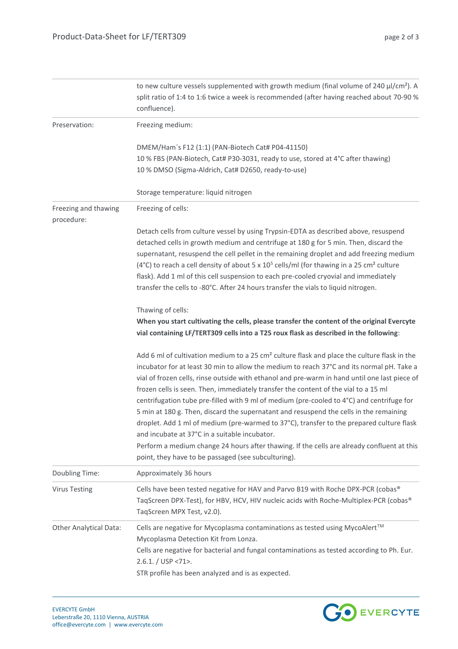|                                    | to new culture vessels supplemented with growth medium (final volume of 240 $\mu$ /cm <sup>2</sup> ). A<br>split ratio of 1:4 to 1:6 twice a week is recommended (after having reached about 70-90 %<br>confluence).                                                                                                                                                                                                                                                                                                                                                                                                                                                                                                                                                                                                                                                                  |
|------------------------------------|---------------------------------------------------------------------------------------------------------------------------------------------------------------------------------------------------------------------------------------------------------------------------------------------------------------------------------------------------------------------------------------------------------------------------------------------------------------------------------------------------------------------------------------------------------------------------------------------------------------------------------------------------------------------------------------------------------------------------------------------------------------------------------------------------------------------------------------------------------------------------------------|
| Preservation:                      | Freezing medium:                                                                                                                                                                                                                                                                                                                                                                                                                                                                                                                                                                                                                                                                                                                                                                                                                                                                      |
|                                    | DMEM/Ham's F12 (1:1) (PAN-Biotech Cat# P04-41150)<br>10 % FBS (PAN-Biotech, Cat# P30-3031, ready to use, stored at 4°C after thawing)<br>10 % DMSO (Sigma-Aldrich, Cat# D2650, ready-to-use)                                                                                                                                                                                                                                                                                                                                                                                                                                                                                                                                                                                                                                                                                          |
|                                    | Storage temperature: liquid nitrogen                                                                                                                                                                                                                                                                                                                                                                                                                                                                                                                                                                                                                                                                                                                                                                                                                                                  |
| Freezing and thawing<br>procedure: | Freezing of cells:                                                                                                                                                                                                                                                                                                                                                                                                                                                                                                                                                                                                                                                                                                                                                                                                                                                                    |
|                                    | Detach cells from culture vessel by using Trypsin-EDTA as described above, resuspend<br>detached cells in growth medium and centrifuge at 180 g for 5 min. Then, discard the<br>supernatant, resuspend the cell pellet in the remaining droplet and add freezing medium<br>(4°C) to reach a cell density of about 5 x $10^5$ cells/ml (for thawing in a 25 cm <sup>2</sup> culture<br>flask). Add 1 ml of this cell suspension to each pre-cooled cryovial and immediately<br>transfer the cells to -80°C. After 24 hours transfer the vials to liquid nitrogen.                                                                                                                                                                                                                                                                                                                      |
|                                    | Thawing of cells:                                                                                                                                                                                                                                                                                                                                                                                                                                                                                                                                                                                                                                                                                                                                                                                                                                                                     |
|                                    | When you start cultivating the cells, please transfer the content of the original Evercyte<br>vial containing LF/TERT309 cells into a T25 roux flask as described in the following:                                                                                                                                                                                                                                                                                                                                                                                                                                                                                                                                                                                                                                                                                                   |
|                                    | Add 6 ml of cultivation medium to a 25 cm <sup>2</sup> culture flask and place the culture flask in the<br>incubator for at least 30 min to allow the medium to reach 37°C and its normal pH. Take a<br>vial of frozen cells, rinse outside with ethanol and pre-warm in hand until one last piece of<br>frozen cells is seen. Then, immediately transfer the content of the vial to a 15 ml<br>centrifugation tube pre-filled with 9 ml of medium (pre-cooled to 4°C) and centrifuge for<br>5 min at 180 g. Then, discard the supernatant and resuspend the cells in the remaining<br>droplet. Add 1 ml of medium (pre-warmed to 37°C), transfer to the prepared culture flask<br>and incubate at 37°C in a suitable incubator.<br>Perform a medium change 24 hours after thawing. If the cells are already confluent at this<br>point, they have to be passaged (see subculturing). |
| Doubling Time:                     | Approximately 36 hours                                                                                                                                                                                                                                                                                                                                                                                                                                                                                                                                                                                                                                                                                                                                                                                                                                                                |
| <b>Virus Testing</b>               | Cells have been tested negative for HAV and Parvo B19 with Roche DPX-PCR (cobas®<br>TaqScreen DPX-Test), for HBV, HCV, HIV nucleic acids with Roche-Multiplex-PCR (cobas®<br>TaqScreen MPX Test, v2.0).                                                                                                                                                                                                                                                                                                                                                                                                                                                                                                                                                                                                                                                                               |
| <b>Other Analytical Data:</b>      | Cells are negative for Mycoplasma contaminations as tested using MycoAlert™<br>Mycoplasma Detection Kit from Lonza.<br>Cells are negative for bacterial and fungal contaminations as tested according to Ph. Eur.<br>$2.6.1$ . / USP <71>.<br>STR profile has been analyzed and is as expected.                                                                                                                                                                                                                                                                                                                                                                                                                                                                                                                                                                                       |